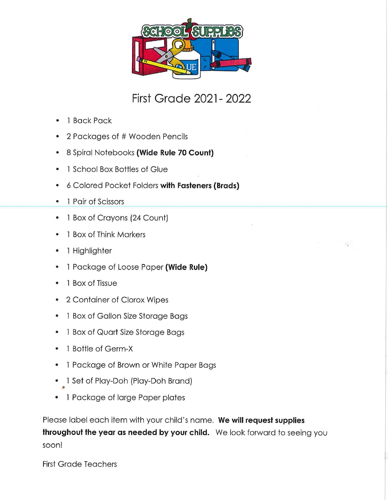

### First Grade 2021-2022

- 1 Back Pack
- 2 Packages of # Wooden Pencils
- 8 Spiral Notebooks (Wide Rule 70 Count)
- 1 School Box Bottles of Glue
- 6 Colored Pocket Folders with Fasteners (Brads)
- 1 Pair of Scissors
- 1 Box of Crayons (24 Count)
- 1 Box of Think Markers
- 1 Highlighter
- 1 Package of Loose Paper (Wide Rule)
- 1 Box of Tissue
- 2 Container of Clorox Wipes
- 1 Box of Gallon Size Storage Bags
- 1 Box of Quorf Size Storage Bags
- 1 Bottle of Germ-X
- 1 Package of Brown or White Paper Bags
- 1 Set of Piay-Doh (Play-Doh Brand)
- 1 Package of large Paper plates

Please label each item with your child's name. We will request supplies throughout the year as needed by your child. We look forward to seeing you soon!

First Grade Teachers

•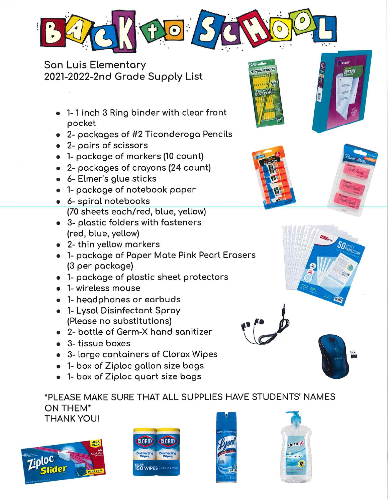

San Luis Elementary 2021-2022-2nd Grade Supply List

- 1-1 inch 3 Ring binder with clear front pocket
- 2- pockoges of #2 Ticonderogo Pencils
- 2- pairs of scissors
- 1- pockoge of markers (10 count)
- 2- packages of crayons (24 count)
- 6- Elmer's glue sticks
- 1- pockoge of notebook paper
- 6- spiral notebooks (70 sheets eoch/red, blue, yellow)
- 3- plastic folders with fosteners (red, blue, yellow)
- 2- thin yellow markers
- 1- package of Paper Mate Pink Pearl Erasers (3 per package)
- 1- package of plastic sheet protectors
- 1-wireless mouse
- 1-headphones or eorbuds
- 1- Lysol Disinfectant Spray (Please no substitutions)
- $\bullet$  2- bottle of Germ-X hand sanitizer
- 3-tissue boxes
- 3" large containers of Clorox Wipes
- 1- box of Ziploc gallon size bags
- 1- box of Ziploc quort size bags

\*PLEASE MAKE SURE THAT ALL SUPPLIES HAVE STUDENTS' NAMES ON THEM\* **THANK YOU!** 











**DURABLE** 

**TICONDEROG** 

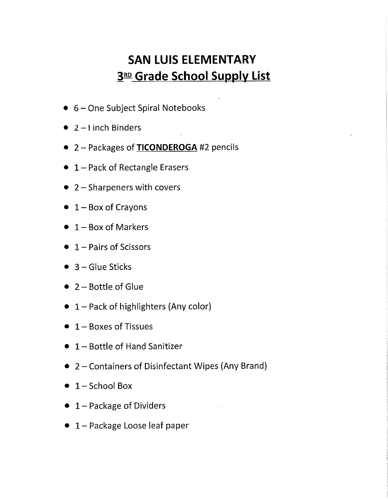## SAN LUIS ELEMENTARY 3RD Grade School Supply List

- 6 One Subject Spiral Notebooks
- 2-1 inch Binders
- 2 Packages of TICONDEROGA #2 pencils
- 1 Pack of Rectangle Erasers
- $\bullet$  2 Sharpeners with covers
- $\bullet$  1 Box of Crayons
- $\bullet$  1 Box of Markers
- $\bullet$  1 Pairs of Scissors
- $\bullet$  3 Glue Sticks
- 2 Bottle of Glue
- 1 Pack of highlighters (Any color)
- $\bullet$  1 Boxes of Tissues
- 1 Bottle of Hand Sanitizer
- 2 Containers of Disinfectant Wipes (Any Brand)
- $\bullet$  1 School Box
- $\bullet$  1 Package of Dividers
- 1-Package Loose leaf paper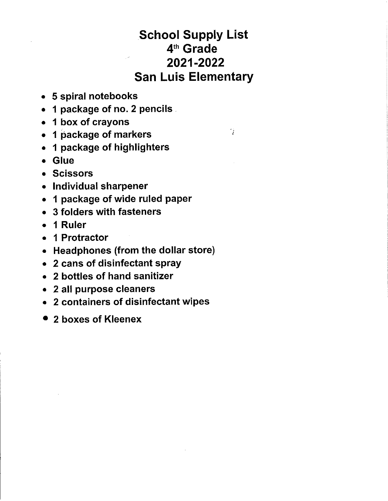## School Supply List 4th Grade 2021-2022 San Luis Elementary

q.

- 5 spiral notebooks
- 1 package of no. 2 pencils
- 1 box of crayons
- 1 package of markers
- 1 package of highlighters
- Glue
- Scissors
- Individual sharpener
- 1 package of wide ruled paper
- 3 folders with fasteners
- 1 Ruler
- 1 Protractor
- Headphones (from the dollar store)
- 2 cans of disinfectant spray
- 2 bottles of hand sanitizer
- 2 all purpose cleaners
- 2 containers of disinfectant wipes
- 2 boxes of Kleenex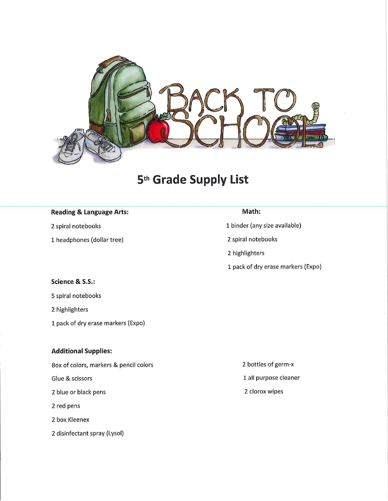

## 5th Grade Supply List

#### Reading & Language Arts:

2 spiral notebooks

1 headphones (dollar tree)

#### Math:

1 binder (any size available)

2 spiral notebooks

2 highlighters

1 pack of dry erase markers (Expo)

#### Science & S.S.:

5 spiral notebooks

2 highlighters

1 pack of dry erase markers (Expo)

#### Additional Supplies:

Box of colors, markers & pencil colors

Glue & scissors

2 blue or black pens

2 red pens

2 box Kleenex

2 disinfectant spray (Lysol)

2 bottles of germ-x 1 all purpose cleaner 2 clorox wipes